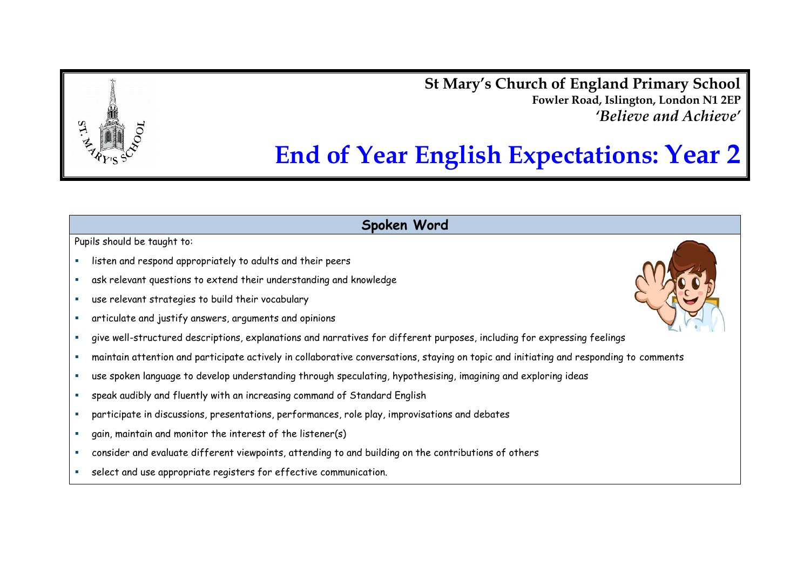**St Mary's Church of England Primary School Fowler Road, Islington, London N1 2EP** *'Believe and Achieve'*

# **End of Year English Expectations: Year 2**

## **Spoken Word**

- listen and respond appropriately to adults and their peers
- ask relevant questions to extend their understanding and knowledge
- use relevant strategies to build their vocabulary
- articulate and justify answers, arguments and opinions
- give well-structured descriptions, explanations and narratives for different purposes, including for expressing feelings
- maintain attention and participate actively in collaborative conversations, staying on topic and initiating and responding to comments
- use spoken language to develop understanding through speculating, hypothesising, imagining and exploring ideas
- speak audibly and fluently with an increasing command of Standard English
- participate in discussions, presentations, performances, role play, improvisations and debates
- gain, maintain and monitor the interest of the listener(s)
- consider and evaluate different viewpoints, attending to and building on the contributions of others
- select and use appropriate registers for effective communication.

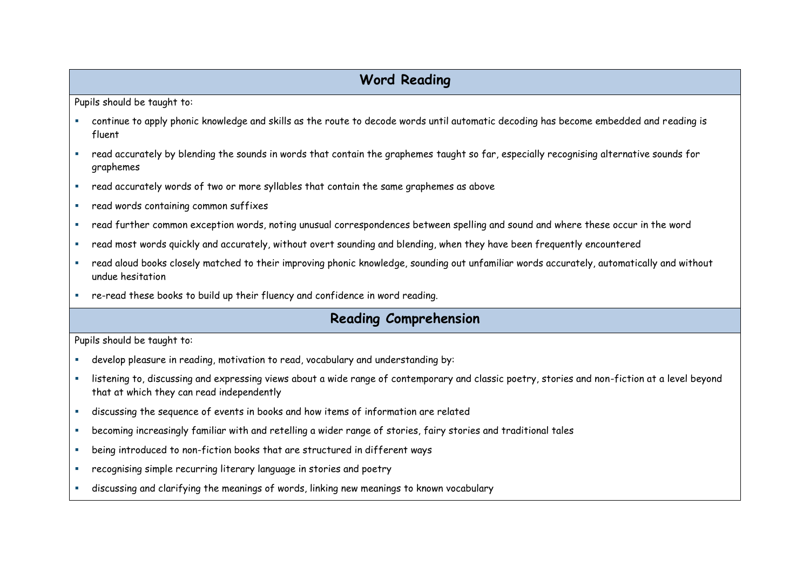# **Word Reading**

Pupils should be taught to:

- continue to apply phonic knowledge and skills as the route to decode words until automatic decoding has become embedded and reading is fluent
- read accurately by blending the sounds in words that contain the graphemes taught so far, especially recognising alternative sounds for graphemes
- read accurately words of two or more syllables that contain the same graphemes as above
- read words containing common suffixes
- read further common exception words, noting unusual correspondences between spelling and sound and where these occur in the word
- read most words quickly and accurately, without overt sounding and blending, when they have been frequently encountered
- read aloud books closely matched to their improving phonic knowledge, sounding out unfamiliar words accurately, automatically and without undue hesitation
- re-read these books to build up their fluency and confidence in word reading.

# **Reading Comprehension**

- develop pleasure in reading, motivation to read, vocabulary and understanding by:
- listening to, discussing and expressing views about a wide range of contemporary and classic poetry, stories and non-fiction at a level beyond that at which they can read independently
- discussing the sequence of events in books and how items of information are related
- becoming increasingly familiar with and retelling a wider range of stories, fairy stories and traditional tales
- being introduced to non-fiction books that are structured in different ways
- **EXEDENT FECOGNISTS** recurring literary language in stories and poetry
- discussing and clarifying the meanings of words, linking new meanings to known vocabulary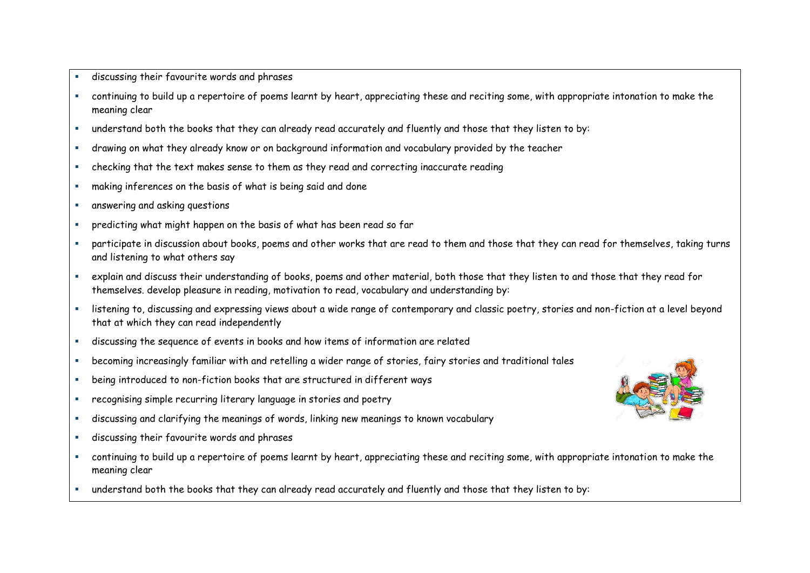- discussing their favourite words and phrases
- continuing to build up a repertoire of poems learnt by heart, appreciating these and reciting some, with appropriate intonation to make the meaning clear
- understand both the books that they can already read accurately and fluently and those that they listen to by:
- drawing on what they already know or on background information and vocabulary provided by the teacher
- checking that the text makes sense to them as they read and correcting inaccurate reading
- making inferences on the basis of what is being said and done
- **E** answering and asking questions
- predicting what might happen on the basis of what has been read so far
- participate in discussion about books, poems and other works that are read to them and those that they can read for themselves, taking turns and listening to what others say
- explain and discuss their understanding of books, poems and other material, both those that they listen to and those that they read for themselves. develop pleasure in reading, motivation to read, vocabulary and understanding by:
- listening to, discussing and expressing views about a wide range of contemporary and classic poetry, stories and non-fiction at a level beyond that at which they can read independently
- discussing the sequence of events in books and how items of information are related
- becoming increasingly familiar with and retelling a wider range of stories, fairy stories and traditional tales
- being introduced to non-fiction books that are structured in different ways
- recognising simple recurring literary language in stories and poetry
- discussing and clarifying the meanings of words, linking new meanings to known vocabulary
- discussing their favourite words and phrases
- continuing to build up a repertoire of poems learnt by heart, appreciating these and reciting some, with appropriate intonation to make the meaning clear
- understand both the books that they can already read accurately and fluently and those that they listen to by:

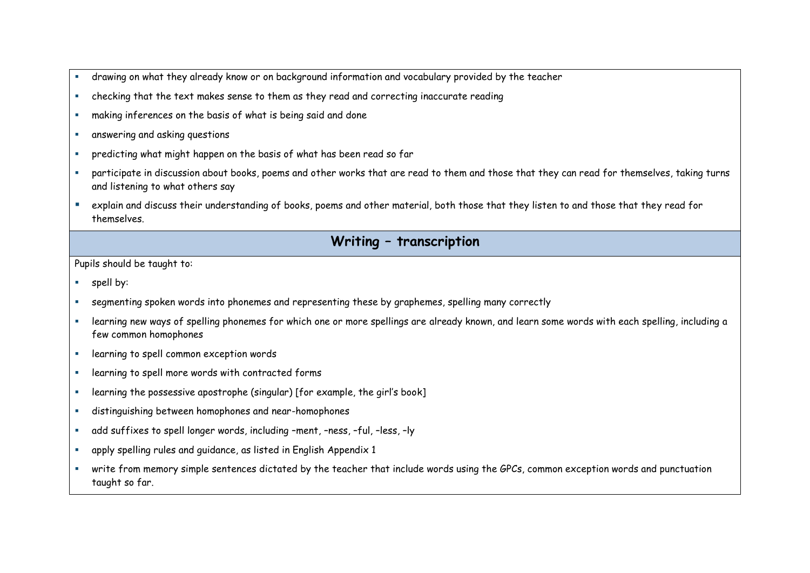- drawing on what they already know or on background information and vocabulary provided by the teacher
- checking that the text makes sense to them as they read and correcting inaccurate reading
- making inferences on the basis of what is being said and done
- **E** answering and asking questions
- predicting what might happen on the basis of what has been read so far
- participate in discussion about books, poems and other works that are read to them and those that they can read for themselves, taking turns and listening to what others say
- explain and discuss their understanding of books, poems and other material, both those that they listen to and those that they read for themselves.

## **Writing – transcription**

- **spell by:**
- segmenting spoken words into phonemes and representing these by graphemes, spelling many correctly
- learning new ways of spelling phonemes for which one or more spellings are already known, and learn some words with each spelling, including a few common homophones
- **Exercise 1** learning to spell common exception words
- **EXEDENT EXECUTE:** learning to spell more words with contracted forms
- learning the possessive apostrophe (singular) [for example, the girl's book]
- distinguishing between homophones and near-homophones
- add suffixes to spell longer words, including –ment, –ness, –ful, –less, –ly
- apply spelling rules and guidance, as listed in English Appendix 1
- write from memory simple sentences dictated by the teacher that include words using the GPCs, common exception words and punctuation taught so far.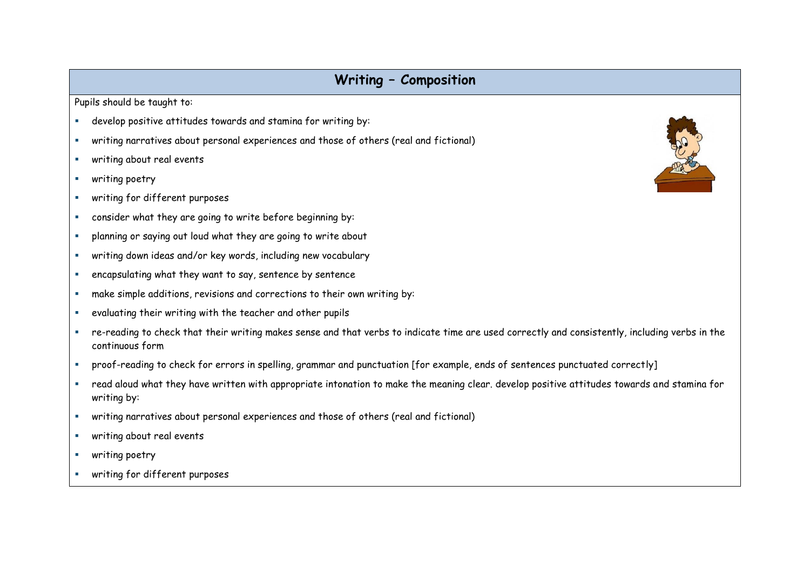## **Writing – Composition**

- develop positive attitudes towards and stamina for writing by:
- writing narratives about personal experiences and those of others (real and fictional)
- **writing about real events**
- **F** writing poetry
- **writing for different purposes**
- consider what they are going to write before beginning by:
- planning or saying out loud what they are going to write about
- writing down ideas and/or key words, including new vocabulary
- encapsulating what they want to say, sentence by sentence
- make simple additions, revisions and corrections to their own writing by:
- evaluating their writing with the teacher and other pupils
- re-reading to check that their writing makes sense and that verbs to indicate time are used correctly and consistently, including verbs in the continuous form
- proof-reading to check for errors in spelling, grammar and punctuation [for example, ends of sentences punctuated correctly]
- read aloud what they have written with appropriate intonation to make the meaning clear. develop positive attitudes towards and stamina for writing by:
- writing narratives about personal experiences and those of others (real and fictional)
- writing about real events
- **writing poetry**
- **writing for different purposes**

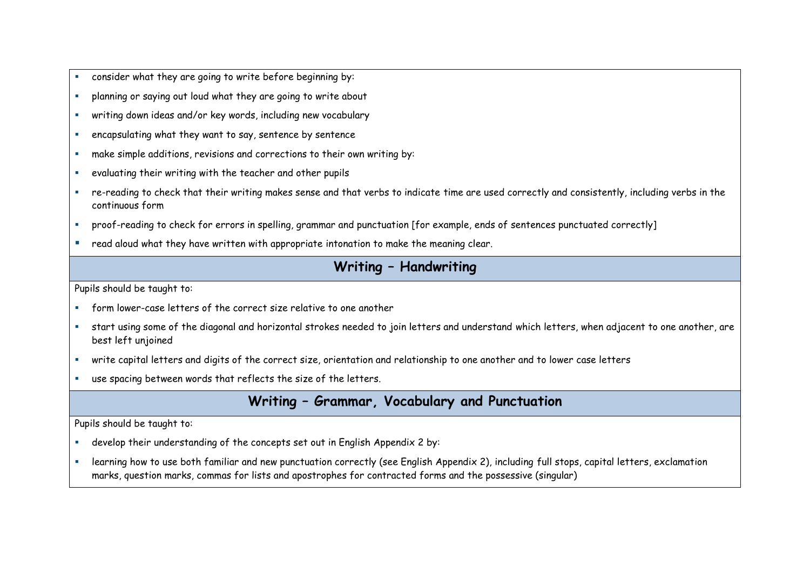- consider what they are going to write before beginning by:
- planning or saying out loud what they are going to write about
- writing down ideas and/or key words, including new vocabulary
- encapsulating what they want to say, sentence by sentence
- make simple additions, revisions and corrections to their own writing by:
- evaluating their writing with the teacher and other pupils
- re-reading to check that their writing makes sense and that verbs to indicate time are used correctly and consistently, including verbs in the continuous form
- proof-reading to check for errors in spelling, grammar and punctuation [for example, ends of sentences punctuated correctly]
- read aloud what they have written with appropriate intonation to make the meaning clear.

## **Writing – Handwriting**

Pupils should be taught to:

- form lower-case letters of the correct size relative to one another
- start using some of the diagonal and horizontal strokes needed to join letters and understand which letters, when adjacent to one another, are best left unjoined
- write capital letters and digits of the correct size, orientation and relationship to one another and to lower case letters
- use spacing between words that reflects the size of the letters.

## **Writing – Grammar, Vocabulary and Punctuation**

- develop their understanding of the concepts set out in English Appendix 2 by:
- **Examing how to use both familiar and new punctuation correctly (see English Appendix 2), including full stops, capital letters, exclamation** marks, question marks, commas for lists and apostrophes for contracted forms and the possessive (singular)